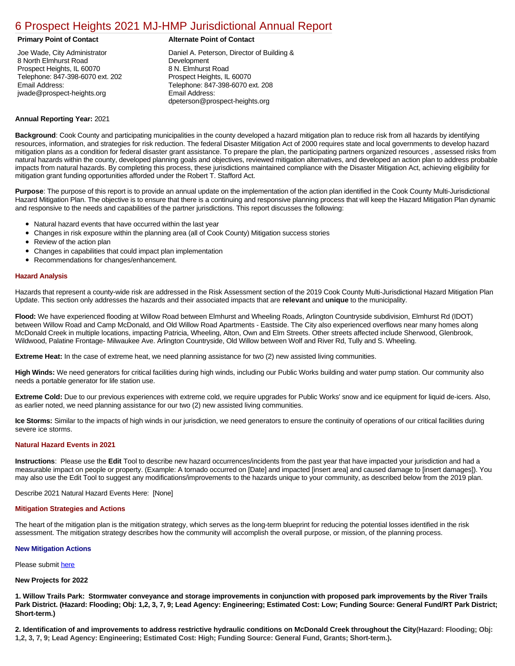# [6 Prospect Heights 2021 MJ-HMP Jurisdictional Annual Report](https://prospect.isc-cemp.com/Cemp/Details?id=8322810)

Joe Wade, City Administrator 8 North Elmhurst Road Prospect Heights, IL 60070 Telephone: 847-398-6070 ext. 202 Email Address: jwade@prospect-heights.org

### **Primary Point of Contact Alternate Point of Contact**

Daniel A. Peterson, Director of Building & Development 8 N. Elmhurst Road Prospect Heights, IL 60070 Telephone: 847-398-6070 ext. 208 Email Address: dpeterson@prospect-heights.org

## **Annual Reporting Year:** 2021

**Background**: Cook County and participating municipalities in the county developed a hazard mitigation plan to reduce risk from all hazards by identifying resources, information, and strategies for risk reduction. The federal Disaster Mitigation Act of 2000 requires state and local governments to develop hazard mitigation plans as a condition for federal disaster grant assistance. To prepare the plan, the participating partners organized resources , assessed risks from natural hazards within the county, developed planning goals and objectives, reviewed mitigation alternatives, and developed an action plan to address probable impacts from natural hazards. By completing this process, these jurisdictions maintained compliance with the Disaster Mitigation Act, achieving eligibility for mitigation grant funding opportunities afforded under the Robert T. Stafford Act.

**Purpose**: The purpose of this report is to provide an annual update on the implementation of the action plan identified in the Cook County Multi-Jurisdictional Hazard Mitigation Plan. The objective is to ensure that there is a continuing and responsive planning process that will keep the Hazard Mitigation Plan dynamic and responsive to the needs and capabilities of the partner jurisdictions. This report discusses the following:

- Natural hazard events that have occurred within the last year
- Changes in risk exposure within the planning area (all of Cook County) Mitigation success stories
- $\bullet$ Review of the action plan
- Changes in capabilities that could impact plan implementation
- Recommendations for changes/enhancement.

### **Hazard Analysis**

Hazards that represent a county-wide risk are addressed in the Risk Assessment section of the 2019 Cook County Multi-Jurisdictional Hazard Mitigation Plan Update. This section only addresses the hazards and their associated impacts that are **relevant** and **unique** to the municipality.

**Flood:** We have experienced flooding at Willow Road between Elmhurst and Wheeling Roads, Arlington Countryside subdivision, Elmhurst Rd (IDOT) between Willow Road and Camp McDonald, and Old Willow Road Apartments - Eastside. The City also experienced overflows near many homes along McDonald Creek in multiple locations, impacting Patricia, Wheeling, Alton, Own and Elm Streets. Other streets affected include Sherwood, Glenbrook, Wildwood, Palatine Frontage- Milwaukee Ave. Arlington Countryside, Old Willow between Wolf and River Rd, Tully and S. Wheeling.

**Extreme Heat:** In the case of extreme heat, we need planning assistance for two (2) new assisted living communities.

**High Winds:** We need generators for critical facilities during high winds, including our Public Works building and water pump station. Our community also needs a portable generator for life station use.

**Extreme Cold:** Due to our previous experiences with extreme cold, we require upgrades for Public Works' snow and ice equipment for liquid de-icers. Also, as earlier noted, we need planning assistance for our two (2) new assisted living communities.

**Ice Storms:** Similar to the impacts of high winds in our jurisdiction, we need generators to ensure the continuity of operations of our critical facilities during severe ice storms.

#### **Natural Hazard Events in 2021**

**Instructions**: Please use the **Edit** Tool to describe new hazard occurrences/incidents from the past year that have impacted your jurisdiction and had a measurable impact on people or property. (Example: A tornado occurred on [Date] and impacted [insert area] and caused damage to [insert damages]). You may also use the Edit Tool to suggest any modifications/improvements to the hazards unique to your community, as described below from the 2019 plan.

Describe 2021 Natural Hazard Events Here: [None]

#### **Mitigation Strategies and Actions**

The heart of the mitigation plan is the mitigation strategy, which serves as the long-term blueprint for reducing the potential losses identified in the risk assessment. The mitigation strategy describes how the community will accomplish the overall purpose, or mission, of the planning process.

#### **New Mitigation Actions**

### Please submit [here](https://integratedsolutions.wufoo.com/forms/mg21jvf0jn639o/)

#### **New Projects for 2022**

**1. Willow Trails Park: Stormwater conveyance and storage improvements in conjunction with proposed park improvements by the River Trails Park District. (Hazard: Flooding; Obj: 1,2, 3, 7, 9; Lead Agency: Engineering; Estimated Cost: Low; Funding Source: General Fund/RT Park District; Short-term.)**

**2. Identification of and improvements to address restrictive hydraulic conditions on McDonald Creek throughout the City(Hazard: Flooding; Obj: 1,2, 3, 7, 9; Lead Agency: Engineering; Estimated Cost: High; Funding Source: General Fund, Grants; Short-term.).**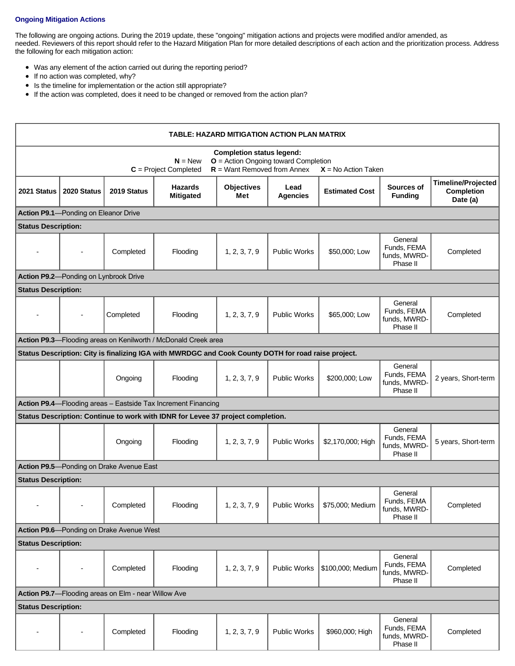# **Ongoing Mitigation Actions**

The following are ongoing actions. During the 2019 update, these "ongoing" mitigation actions and projects were modified and/or amended, as needed. Reviewers of this report should refer to the Hazard Mitigation Plan for more detailed descriptions of each action and the prioritization process. Address the following for each mitigation action:

- Was any element of the action carried out during the reporting period?
- If no action was completed, why?
- Is the timeline for implementation or the action still appropriate?
- If the action was completed, does it need to be changed or removed from the action plan?

| TABLE: HAZARD MITIGATION ACTION PLAN MATRIX                                                                                                                                  |             |             |                                                                                                     |                          |                         |                       |                                                    |                                                            |  |  |
|------------------------------------------------------------------------------------------------------------------------------------------------------------------------------|-------------|-------------|-----------------------------------------------------------------------------------------------------|--------------------------|-------------------------|-----------------------|----------------------------------------------------|------------------------------------------------------------|--|--|
| <b>Completion status legend:</b><br>$O =$ Action Ongoing toward Completion<br>$N = New$<br>$R =$ Want Removed from Annex<br>$C = Project Completed$<br>$X = No$ Action Taken |             |             |                                                                                                     |                          |                         |                       |                                                    |                                                            |  |  |
| 2021 Status                                                                                                                                                                  | 2020 Status | 2019 Status | <b>Hazards</b><br><b>Mitigated</b>                                                                  | <b>Objectives</b><br>Met | Lead<br><b>Agencies</b> | <b>Estimated Cost</b> | Sources of<br><b>Funding</b>                       | <b>Timeline/Projected</b><br><b>Completion</b><br>Date (a) |  |  |
| Action P9.1-Ponding on Eleanor Drive                                                                                                                                         |             |             |                                                                                                     |                          |                         |                       |                                                    |                                                            |  |  |
| <b>Status Description:</b>                                                                                                                                                   |             |             |                                                                                                     |                          |                         |                       |                                                    |                                                            |  |  |
|                                                                                                                                                                              |             | Completed   | Flooding                                                                                            | 1, 2, 3, 7, 9            | <b>Public Works</b>     | \$50,000; Low         | General<br>Funds, FEMA<br>funds, MWRD-<br>Phase II | Completed                                                  |  |  |
| Action P9.2-Ponding on Lynbrook Drive                                                                                                                                        |             |             |                                                                                                     |                          |                         |                       |                                                    |                                                            |  |  |
| <b>Status Description:</b>                                                                                                                                                   |             |             |                                                                                                     |                          |                         |                       |                                                    |                                                            |  |  |
|                                                                                                                                                                              |             | Completed   | Flooding                                                                                            | 1, 2, 3, 7, 9            | <b>Public Works</b>     | \$65,000: Low         | General<br>Funds, FEMA<br>funds, MWRD-<br>Phase II | Completed                                                  |  |  |
| Action P9.3-Flooding areas on Kenilworth / McDonald Creek area                                                                                                               |             |             |                                                                                                     |                          |                         |                       |                                                    |                                                            |  |  |
|                                                                                                                                                                              |             |             | Status Description: City is finalizing IGA with MWRDGC and Cook County DOTH for road raise project. |                          |                         |                       |                                                    |                                                            |  |  |
|                                                                                                                                                                              |             | Ongoing     | Flooding                                                                                            | 1, 2, 3, 7, 9            | <b>Public Works</b>     | \$200,000; Low        | General<br>Funds, FEMA<br>funds, MWRD-<br>Phase II | 2 years, Short-term                                        |  |  |
| Action P9.4-Flooding areas - Eastside Tax Increment Financing                                                                                                                |             |             |                                                                                                     |                          |                         |                       |                                                    |                                                            |  |  |
| Status Description: Continue to work with IDNR for Levee 37 project completion.                                                                                              |             |             |                                                                                                     |                          |                         |                       |                                                    |                                                            |  |  |
|                                                                                                                                                                              |             | Ongoing     | Flooding                                                                                            | 1, 2, 3, 7, 9            | <b>Public Works</b>     | \$2,170,000; High     | General<br>Funds, FEMA<br>funds, MWRD-<br>Phase II | 5 years, Short-term                                        |  |  |
| Action P9.5-Ponding on Drake Avenue East                                                                                                                                     |             |             |                                                                                                     |                          |                         |                       |                                                    |                                                            |  |  |
| <b>Status Description:</b>                                                                                                                                                   |             |             |                                                                                                     |                          |                         |                       |                                                    |                                                            |  |  |
|                                                                                                                                                                              |             | Completed   | Flooding                                                                                            | 1, 2, 3, 7, 9            | <b>Public Works</b>     | \$75,000; Medium      | General<br>Funds, FEMA<br>funds, MWRD-<br>Phase II | Completed                                                  |  |  |
| Action P9.6-Ponding on Drake Avenue West                                                                                                                                     |             |             |                                                                                                     |                          |                         |                       |                                                    |                                                            |  |  |
| <b>Status Description:</b>                                                                                                                                                   |             |             |                                                                                                     |                          |                         |                       |                                                    |                                                            |  |  |
| $\overline{\phantom{a}}$                                                                                                                                                     |             | Completed   | Flooding                                                                                            | 1, 2, 3, 7, 9            | <b>Public Works</b>     | \$100,000; Medium     | General<br>Funds, FEMA<br>funds, MWRD-<br>Phase II | Completed                                                  |  |  |
| Action P9.7-Flooding areas on Elm - near Willow Ave                                                                                                                          |             |             |                                                                                                     |                          |                         |                       |                                                    |                                                            |  |  |
| <b>Status Description:</b>                                                                                                                                                   |             |             |                                                                                                     |                          |                         |                       |                                                    |                                                            |  |  |
|                                                                                                                                                                              |             | Completed   | Flooding                                                                                            | 1, 2, 3, 7, 9            | <b>Public Works</b>     | \$960,000; High       | General<br>Funds, FEMA<br>funds, MWRD-<br>Phase II | Completed                                                  |  |  |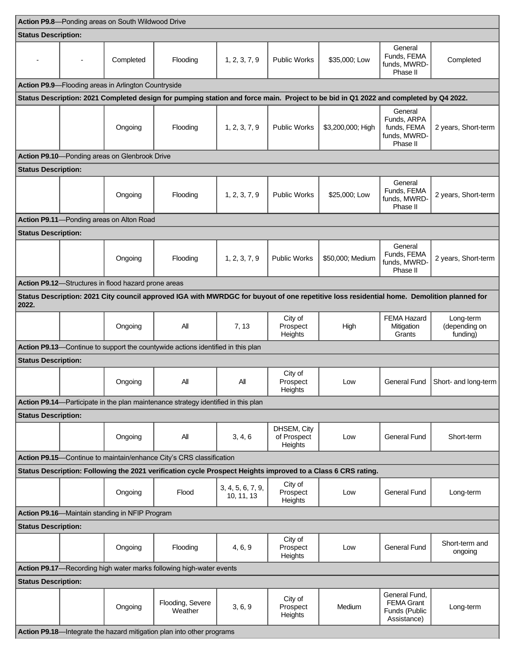| Action P9.8-Ponding areas on South Wildwood Drive                                                                                                  |  |                                                     |                                                                                                                                      |                                 |                                       |                   |                                                                    |                                        |
|----------------------------------------------------------------------------------------------------------------------------------------------------|--|-----------------------------------------------------|--------------------------------------------------------------------------------------------------------------------------------------|---------------------------------|---------------------------------------|-------------------|--------------------------------------------------------------------|----------------------------------------|
| <b>Status Description:</b>                                                                                                                         |  |                                                     |                                                                                                                                      |                                 |                                       |                   |                                                                    |                                        |
|                                                                                                                                                    |  | Completed                                           | Flooding                                                                                                                             | 1, 2, 3, 7, 9                   | <b>Public Works</b>                   | \$35,000; Low     | General<br>Funds, FEMA<br>funds. MWRD-<br>Phase II                 | Completed                              |
|                                                                                                                                                    |  | Action P9.9-Flooding areas in Arlington Countryside |                                                                                                                                      |                                 |                                       |                   |                                                                    |                                        |
|                                                                                                                                                    |  |                                                     | Status Description: 2021 Completed design for pumping station and force main. Project to be bid in Q1 2022 and completed by Q4 2022. |                                 |                                       |                   |                                                                    |                                        |
|                                                                                                                                                    |  | Ongoing                                             | Flooding                                                                                                                             | 1, 2, 3, 7, 9                   | <b>Public Works</b>                   | \$3,200,000; High | General<br>Funds, ARPA<br>funds, FEMA<br>funds, MWRD-<br>Phase II  | 2 years, Short-term                    |
|                                                                                                                                                    |  | Action P9.10-Ponding areas on Glenbrook Drive       |                                                                                                                                      |                                 |                                       |                   |                                                                    |                                        |
| <b>Status Description:</b>                                                                                                                         |  |                                                     |                                                                                                                                      |                                 |                                       |                   |                                                                    |                                        |
|                                                                                                                                                    |  | Ongoing                                             | Flooding                                                                                                                             | 1, 2, 3, 7, 9                   | <b>Public Works</b>                   | \$25,000; Low     | General<br>Funds, FEMA<br>funds, MWRD-<br>Phase II                 | 2 years, Short-term                    |
|                                                                                                                                                    |  | Action P9.11-Ponding areas on Alton Road            |                                                                                                                                      |                                 |                                       |                   |                                                                    |                                        |
| <b>Status Description:</b>                                                                                                                         |  |                                                     |                                                                                                                                      |                                 |                                       |                   |                                                                    |                                        |
|                                                                                                                                                    |  | Ongoing                                             | Flooding                                                                                                                             | 1, 2, 3, 7, 9                   | <b>Public Works</b>                   | \$50,000; Medium  | General<br>Funds, FEMA<br>funds, MWRD-<br>Phase II                 | 2 years, Short-term                    |
|                                                                                                                                                    |  | Action P9.12-Structures in flood hazard prone areas |                                                                                                                                      |                                 |                                       |                   |                                                                    |                                        |
| Status Description: 2021 City council approved IGA with MWRDGC for buyout of one repetitive loss residential home. Demolition planned for<br>2022. |  |                                                     |                                                                                                                                      |                                 |                                       |                   |                                                                    |                                        |
|                                                                                                                                                    |  | Ongoing                                             | All                                                                                                                                  | 7, 13                           | City of<br>Prospect<br>Heights        | High              | <b>FEMA Hazard</b><br>Mitigation<br>Grants                         | Long-term<br>(depending on<br>funding) |
| Action P9.13-Continue to support the countywide actions identified in this plan                                                                    |  |                                                     |                                                                                                                                      |                                 |                                       |                   |                                                                    |                                        |
| <b>Status Description:</b>                                                                                                                         |  |                                                     |                                                                                                                                      |                                 |                                       |                   |                                                                    |                                        |
|                                                                                                                                                    |  | Ongoing                                             | Αll                                                                                                                                  | All                             | City of<br>Prospect<br>Heights        | Low               | <b>General Fund</b>                                                | Short- and long-term                   |
|                                                                                                                                                    |  |                                                     | Action P9.14-Participate in the plan maintenance strategy identified in this plan                                                    |                                 |                                       |                   |                                                                    |                                        |
| <b>Status Description:</b>                                                                                                                         |  |                                                     |                                                                                                                                      |                                 |                                       |                   |                                                                    |                                        |
|                                                                                                                                                    |  | Ongoing                                             | All                                                                                                                                  | 3, 4, 6                         | DHSEM, City<br>of Prospect<br>Heights | Low               | <b>General Fund</b>                                                | Short-term                             |
|                                                                                                                                                    |  |                                                     | Action P9.15-Continue to maintain/enhance City's CRS classification                                                                  |                                 |                                       |                   |                                                                    |                                        |
| Status Description: Following the 2021 verification cycle Prospect Heights improved to a Class 6 CRS rating.                                       |  |                                                     |                                                                                                                                      |                                 |                                       |                   |                                                                    |                                        |
|                                                                                                                                                    |  | Ongoing                                             | Flood                                                                                                                                | 3, 4, 5, 6, 7, 9,<br>10, 11, 13 | City of<br>Prospect<br>Heights        | Low               | <b>General Fund</b>                                                | Long-term                              |
| Action P9.16-Maintain standing in NFIP Program                                                                                                     |  |                                                     |                                                                                                                                      |                                 |                                       |                   |                                                                    |                                        |
| <b>Status Description:</b>                                                                                                                         |  |                                                     |                                                                                                                                      |                                 |                                       |                   |                                                                    |                                        |
|                                                                                                                                                    |  | Ongoing                                             | Flooding                                                                                                                             | 4, 6, 9                         | City of<br>Prospect<br>Heights        | Low               | <b>General Fund</b>                                                | Short-term and<br>ongoing              |
| Action P9.17-Recording high water marks following high-water events                                                                                |  |                                                     |                                                                                                                                      |                                 |                                       |                   |                                                                    |                                        |
| <b>Status Description:</b>                                                                                                                         |  |                                                     |                                                                                                                                      |                                 |                                       |                   |                                                                    |                                        |
|                                                                                                                                                    |  | Ongoing                                             | Flooding, Severe<br>Weather                                                                                                          | 3, 6, 9                         | City of<br>Prospect<br>Heights        | Medium            | General Fund,<br><b>FEMA Grant</b><br>Funds (Public<br>Assistance) | Long-term                              |
| Action P9.18-Integrate the hazard mitigation plan into other programs                                                                              |  |                                                     |                                                                                                                                      |                                 |                                       |                   |                                                                    |                                        |